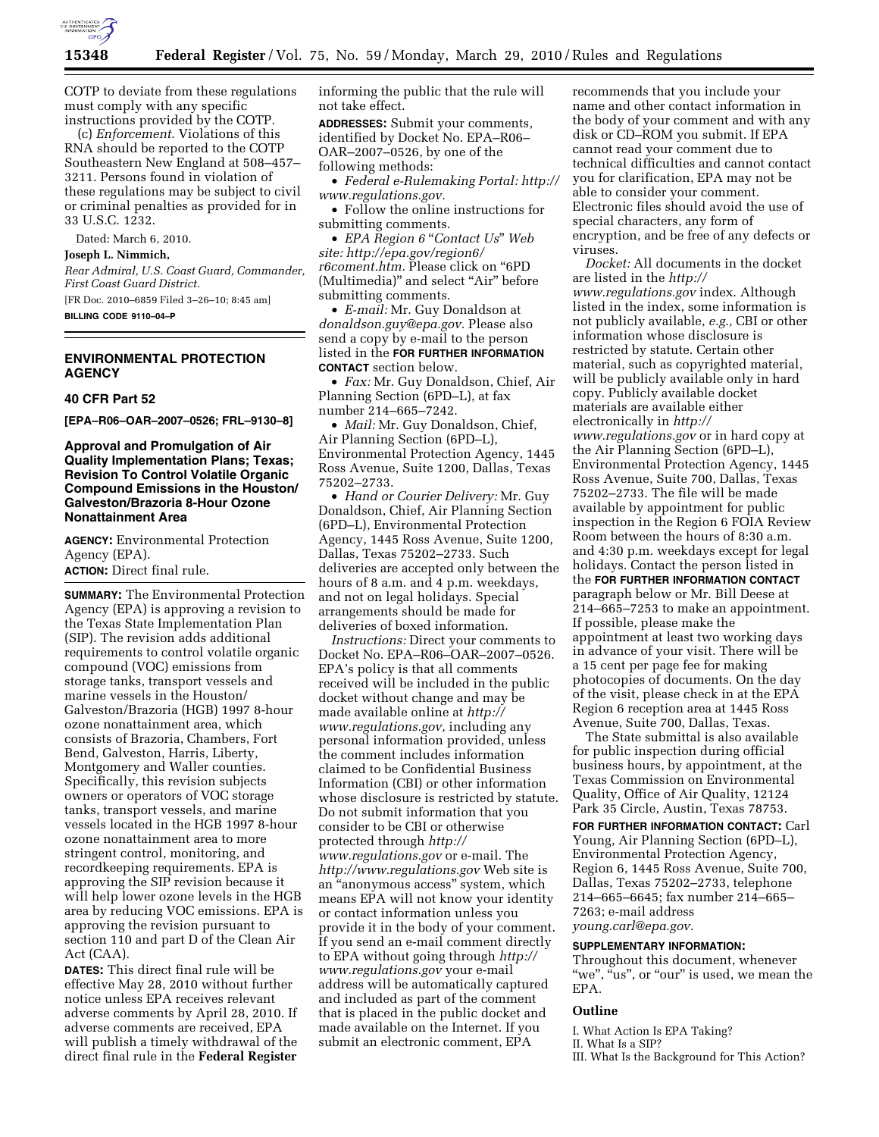

COTP to deviate from these regulations must comply with any specific instructions provided by the COTP.

(c) *Enforcement.* Violations of this RNA should be reported to the COTP Southeastern New England at 508–457– 3211. Persons found in violation of these regulations may be subject to civil or criminal penalties as provided for in 33 U.S.C. 1232.

Dated: March 6, 2010.

**Joseph L. Nimmich,** 

*Rear Admiral, U.S. Coast Guard, Commander, First Coast Guard District.* 

[FR Doc. 2010–6859 Filed 3–26–10; 8:45 am]

**BILLING CODE 9110–04–P** 

#### **ENVIRONMENTAL PROTECTION AGENCY**

#### **40 CFR Part 52**

**[EPA–R06–OAR–2007–0526; FRL–9130–8]** 

### **Approval and Promulgation of Air Quality Implementation Plans; Texas; Revision To Control Volatile Organic Compound Emissions in the Houston/ Galveston/Brazoria 8-Hour Ozone Nonattainment Area**

**AGENCY:** Environmental Protection Agency (EPA). **ACTION:** Direct final rule.

**SUMMARY:** The Environmental Protection Agency (EPA) is approving a revision to the Texas State Implementation Plan (SIP). The revision adds additional requirements to control volatile organic compound (VOC) emissions from storage tanks, transport vessels and marine vessels in the Houston/ Galveston/Brazoria (HGB) 1997 8-hour ozone nonattainment area, which consists of Brazoria, Chambers, Fort Bend, Galveston, Harris, Liberty, Montgomery and Waller counties. Specifically, this revision subjects owners or operators of VOC storage tanks, transport vessels, and marine vessels located in the HGB 1997 8-hour ozone nonattainment area to more stringent control, monitoring, and recordkeeping requirements. EPA is approving the SIP revision because it will help lower ozone levels in the HGB area by reducing VOC emissions. EPA is approving the revision pursuant to section 110 and part D of the Clean Air Act (CAA).

**DATES:** This direct final rule will be effective May 28, 2010 without further notice unless EPA receives relevant adverse comments by April 28, 2010. If adverse comments are received, EPA will publish a timely withdrawal of the direct final rule in the **Federal Register** 

informing the public that the rule will not take effect.

**ADDRESSES:** Submit your comments, identified by Docket No. EPA–R06– OAR–2007–0526, by one of the following methods:

• *Federal e-Rulemaking Portal: http:// www.regulations.gov.* 

• Follow the online instructions for submitting comments.

• *EPA Region 6 "Contact Us" Web site: http://epa.gov/region6/ r6coment.htm.* Please click on ''6PD (Multimedia)" and select "Air" before submitting comments.

• *E-mail:* Mr. Guy Donaldson at *donaldson.guy@epa.gov.* Please also send a copy by e-mail to the person listed in the **FOR FURTHER INFORMATION CONTACT** section below.

• *Fax:* Mr. Guy Donaldson, Chief, Air Planning Section (6PD–L), at fax number 214–665–7242.

• *Mail:* Mr. Guy Donaldson, Chief, Air Planning Section (6PD–L), Environmental Protection Agency, 1445 Ross Avenue, Suite 1200, Dallas, Texas 75202–2733.

• *Hand or Courier Delivery:* Mr. Guy Donaldson, Chief, Air Planning Section (6PD–L), Environmental Protection Agency, 1445 Ross Avenue, Suite 1200, Dallas, Texas 75202–2733. Such deliveries are accepted only between the hours of 8 a.m. and 4 p.m. weekdays, and not on legal holidays. Special arrangements should be made for deliveries of boxed information.

*Instructions:* Direct your comments to Docket No. EPA–R06–OAR–2007–0526. EPA's policy is that all comments received will be included in the public docket without change and may be made available online at *http:// www.regulations.gov,* including any personal information provided, unless the comment includes information claimed to be Confidential Business Information (CBI) or other information whose disclosure is restricted by statute. Do not submit information that you consider to be CBI or otherwise protected through *http:// www.regulations.gov* or e-mail. The *http://www.regulations.gov* Web site is an ''anonymous access'' system, which means EPA will not know your identity or contact information unless you provide it in the body of your comment. If you send an e-mail comment directly to EPA without going through *http:// www.regulations.gov* your e-mail address will be automatically captured and included as part of the comment that is placed in the public docket and made available on the Internet. If you submit an electronic comment, EPA

recommends that you include your name and other contact information in the body of your comment and with any disk or CD–ROM you submit. If EPA cannot read your comment due to technical difficulties and cannot contact you for clarification, EPA may not be able to consider your comment. Electronic files should avoid the use of special characters, any form of encryption, and be free of any defects or viruses.

*Docket:* All documents in the docket are listed in the *http:// www.regulations.gov* index. Although listed in the index, some information is not publicly available, *e.g.,* CBI or other information whose disclosure is restricted by statute. Certain other material, such as copyrighted material, will be publicly available only in hard copy. Publicly available docket materials are available either electronically in *http:// www.regulations.gov* or in hard copy at the Air Planning Section (6PD–L), Environmental Protection Agency, 1445 Ross Avenue, Suite 700, Dallas, Texas 75202–2733. The file will be made available by appointment for public inspection in the Region 6 FOIA Review Room between the hours of 8:30 a.m. and 4:30 p.m. weekdays except for legal holidays. Contact the person listed in the **FOR FURTHER INFORMATION CONTACT** paragraph below or Mr. Bill Deese at 214–665–7253 to make an appointment. If possible, please make the appointment at least two working days in advance of your visit. There will be a 15 cent per page fee for making photocopies of documents. On the day of the visit, please check in at the EPA Region 6 reception area at 1445 Ross Avenue, Suite 700, Dallas, Texas.

The State submittal is also available for public inspection during official business hours, by appointment, at the Texas Commission on Environmental Quality, Office of Air Quality, 12124 Park 35 Circle, Austin, Texas 78753.

**FOR FURTHER INFORMATION CONTACT:** Carl Young, Air Planning Section (6PD–L), Environmental Protection Agency, Region 6, 1445 Ross Avenue, Suite 700, Dallas, Texas 75202–2733, telephone 214–665–6645; fax number 214–665– 7263; e-mail address *young.carl@epa.gov.* 

# **SUPPLEMENTARY INFORMATION:**

Throughout this document, whenever "we", "us", or "our" is used, we mean the EPA.

#### **Outline**

I. What Action Is EPA Taking? II. What Is a SIP? III. What Is the Background for This Action?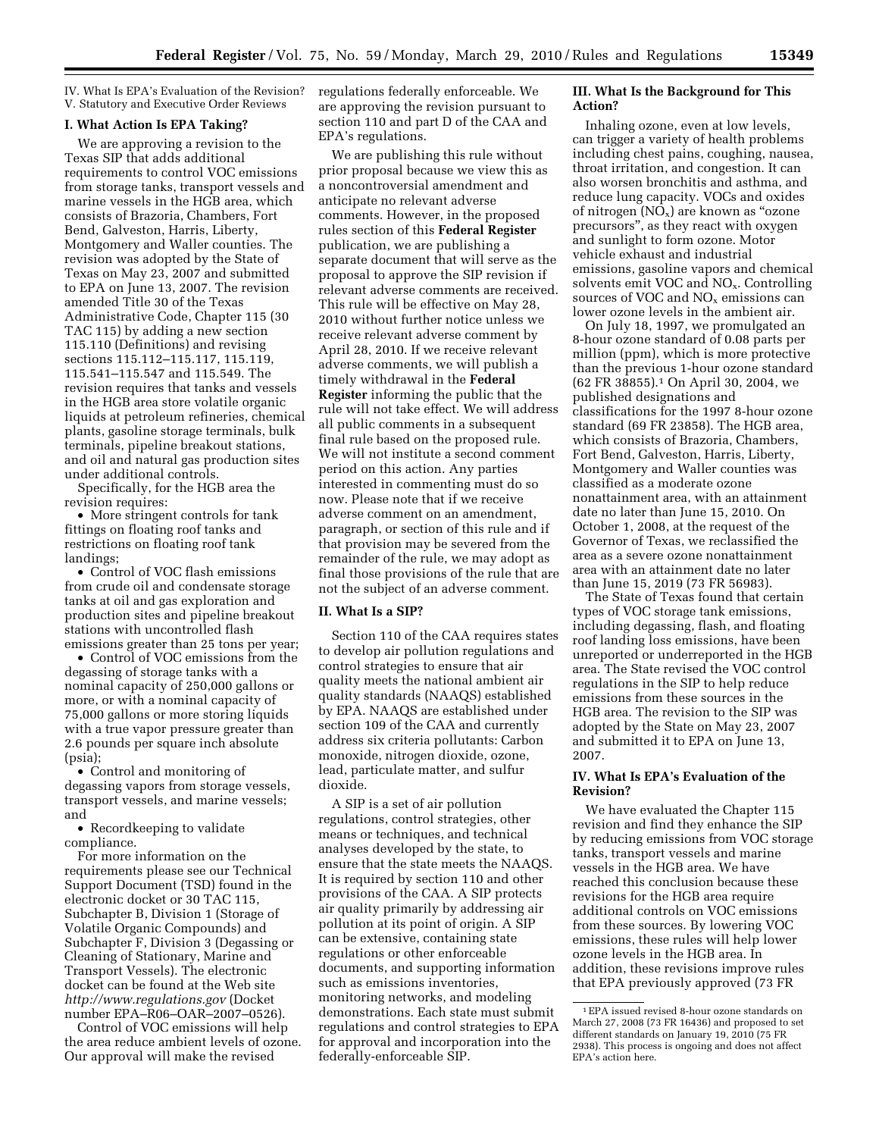IV. What Is EPA's Evaluation of the Revision? V. Statutory and Executive Order Reviews

#### **I. What Action Is EPA Taking?**

We are approving a revision to the Texas SIP that adds additional requirements to control VOC emissions from storage tanks, transport vessels and marine vessels in the HGB area, which consists of Brazoria, Chambers, Fort Bend, Galveston, Harris, Liberty, Montgomery and Waller counties. The revision was adopted by the State of Texas on May 23, 2007 and submitted to EPA on June 13, 2007. The revision amended Title 30 of the Texas Administrative Code, Chapter 115 (30 TAC 115) by adding a new section 115.110 (Definitions) and revising sections 115.112–115.117, 115.119, 115.541–115.547 and 115.549. The revision requires that tanks and vessels in the HGB area store volatile organic liquids at petroleum refineries, chemical plants, gasoline storage terminals, bulk terminals, pipeline breakout stations, and oil and natural gas production sites under additional controls.

Specifically, for the HGB area the revision requires:

• More stringent controls for tank fittings on floating roof tanks and restrictions on floating roof tank landings;

• Control of VOC flash emissions from crude oil and condensate storage tanks at oil and gas exploration and production sites and pipeline breakout stations with uncontrolled flash emissions greater than 25 tons per year;

• Control of VOC emissions from the degassing of storage tanks with a nominal capacity of 250,000 gallons or more, or with a nominal capacity of 75,000 gallons or more storing liquids with a true vapor pressure greater than 2.6 pounds per square inch absolute (psia);

• Control and monitoring of degassing vapors from storage vessels, transport vessels, and marine vessels; and

• Recordkeeping to validate compliance.

For more information on the requirements please see our Technical Support Document (TSD) found in the electronic docket or 30 TAC 115, Subchapter B, Division 1 (Storage of Volatile Organic Compounds) and Subchapter F, Division 3 (Degassing or Cleaning of Stationary, Marine and Transport Vessels). The electronic docket can be found at the Web site *http://www.regulations.gov* (Docket number EPA–R06–OAR–2007–0526).

Control of VOC emissions will help the area reduce ambient levels of ozone. Our approval will make the revised

regulations federally enforceable. We are approving the revision pursuant to section 110 and part D of the CAA and EPA's regulations.

We are publishing this rule without prior proposal because we view this as a noncontroversial amendment and anticipate no relevant adverse comments. However, in the proposed rules section of this **Federal Register**  publication, we are publishing a separate document that will serve as the proposal to approve the SIP revision if relevant adverse comments are received. This rule will be effective on May 28, 2010 without further notice unless we receive relevant adverse comment by April 28, 2010. If we receive relevant adverse comments, we will publish a timely withdrawal in the **Federal Register** informing the public that the rule will not take effect. We will address all public comments in a subsequent final rule based on the proposed rule. We will not institute a second comment period on this action. Any parties interested in commenting must do so now. Please note that if we receive adverse comment on an amendment, paragraph, or section of this rule and if that provision may be severed from the remainder of the rule, we may adopt as final those provisions of the rule that are not the subject of an adverse comment.

#### **II. What Is a SIP?**

Section 110 of the CAA requires states to develop air pollution regulations and control strategies to ensure that air quality meets the national ambient air quality standards (NAAQS) established by EPA. NAAQS are established under section 109 of the CAA and currently address six criteria pollutants: Carbon monoxide, nitrogen dioxide, ozone, lead, particulate matter, and sulfur dioxide.

A SIP is a set of air pollution regulations, control strategies, other means or techniques, and technical analyses developed by the state, to ensure that the state meets the NAAQS. It is required by section 110 and other provisions of the CAA. A SIP protects air quality primarily by addressing air pollution at its point of origin. A SIP can be extensive, containing state regulations or other enforceable documents, and supporting information such as emissions inventories, monitoring networks, and modeling demonstrations. Each state must submit regulations and control strategies to EPA for approval and incorporation into the federally-enforceable SIP.

### **III. What Is the Background for This Action?**

Inhaling ozone, even at low levels, can trigger a variety of health problems including chest pains, coughing, nausea, throat irritation, and congestion. It can also worsen bronchitis and asthma, and reduce lung capacity. VOCs and oxides of nitrogen  $(NO_x)$  are known as "ozone" precursors'', as they react with oxygen and sunlight to form ozone. Motor vehicle exhaust and industrial emissions, gasoline vapors and chemical solvents emit VOC and NOx. Controlling sources of VOC and  $NO<sub>x</sub>$  emissions can lower ozone levels in the ambient air.

On July 18, 1997, we promulgated an 8-hour ozone standard of 0.08 parts per million (ppm), which is more protective than the previous 1-hour ozone standard (62 FR 38855).1 On April 30, 2004, we published designations and classifications for the 1997 8-hour ozone standard (69 FR 23858). The HGB area, which consists of Brazoria, Chambers, Fort Bend, Galveston, Harris, Liberty, Montgomery and Waller counties was classified as a moderate ozone nonattainment area, with an attainment date no later than June 15, 2010. On October 1, 2008, at the request of the Governor of Texas, we reclassified the area as a severe ozone nonattainment area with an attainment date no later than June 15, 2019 (73 FR 56983).

The State of Texas found that certain types of VOC storage tank emissions, including degassing, flash, and floating roof landing loss emissions, have been unreported or underreported in the HGB area. The State revised the VOC control regulations in the SIP to help reduce emissions from these sources in the HGB area. The revision to the SIP was adopted by the State on May 23, 2007 and submitted it to EPA on June 13, 2007.

## **IV. What Is EPA's Evaluation of the Revision?**

We have evaluated the Chapter 115 revision and find they enhance the SIP by reducing emissions from VOC storage tanks, transport vessels and marine vessels in the HGB area. We have reached this conclusion because these revisions for the HGB area require additional controls on VOC emissions from these sources. By lowering VOC emissions, these rules will help lower ozone levels in the HGB area. In addition, these revisions improve rules that EPA previously approved (73 FR

<sup>1</sup>EPA issued revised 8-hour ozone standards on March 27, 2008 (73 FR 16436) and proposed to set different standards on January 19, 2010 (75 FR 2938). This process is ongoing and does not affect EPA's action here.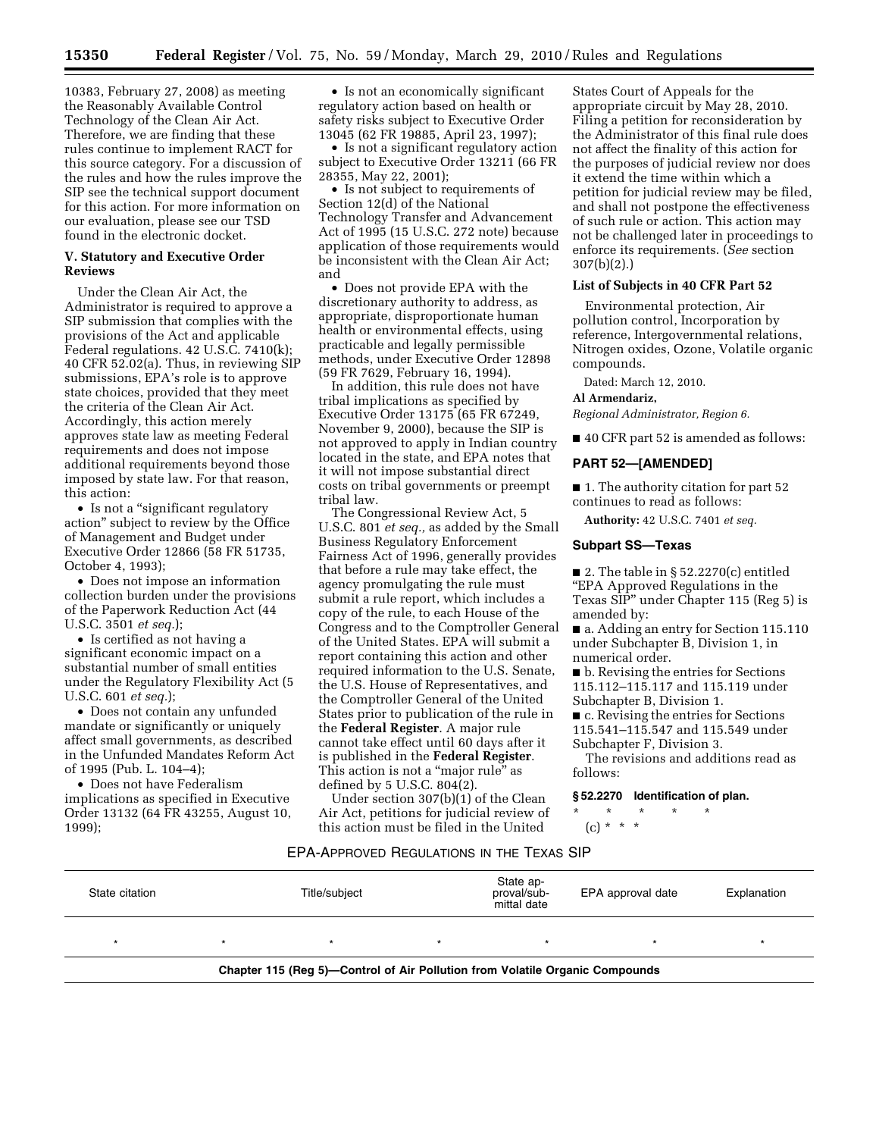10383, February 27, 2008) as meeting the Reasonably Available Control Technology of the Clean Air Act. Therefore, we are finding that these rules continue to implement RACT for this source category. For a discussion of the rules and how the rules improve the SIP see the technical support document for this action. For more information on our evaluation, please see our TSD found in the electronic docket.

### **V. Statutory and Executive Order Reviews**

Under the Clean Air Act, the Administrator is required to approve a SIP submission that complies with the provisions of the Act and applicable Federal regulations. 42 U.S.C. 7410(k); 40 CFR 52.02(a). Thus, in reviewing SIP submissions, EPA's role is to approve state choices, provided that they meet the criteria of the Clean Air Act. Accordingly, this action merely approves state law as meeting Federal requirements and does not impose additional requirements beyond those imposed by state law. For that reason, this action:

• Is not a "significant regulatory action'' subject to review by the Office of Management and Budget under Executive Order 12866 (58 FR 51735, October 4, 1993);

• Does not impose an information collection burden under the provisions of the Paperwork Reduction Act (44 U.S.C. 3501 *et seq.*);

• Is certified as not having a significant economic impact on a substantial number of small entities under the Regulatory Flexibility Act (5 U.S.C. 601 *et seq.*);

• Does not contain any unfunded mandate or significantly or uniquely affect small governments, as described in the Unfunded Mandates Reform Act of 1995 (Pub. L. 104–4);

• Does not have Federalism implications as specified in Executive Order 13132 (64 FR 43255, August 10, 1999);

• Is not an economically significant regulatory action based on health or safety risks subject to Executive Order 13045 (62 FR 19885, April 23, 1997);

• Is not a significant regulatory action subject to Executive Order 13211 (66 FR 28355, May 22, 2001);

• Is not subject to requirements of Section 12(d) of the National Technology Transfer and Advancement Act of 1995 (15 U.S.C. 272 note) because application of those requirements would be inconsistent with the Clean Air Act; and

• Does not provide EPA with the discretionary authority to address, as appropriate, disproportionate human health or environmental effects, using practicable and legally permissible methods, under Executive Order 12898 (59 FR 7629, February 16, 1994).

In addition, this rule does not have tribal implications as specified by Executive Order 13175 (65 FR 67249, November 9, 2000), because the SIP is not approved to apply in Indian country located in the state, and EPA notes that it will not impose substantial direct costs on tribal governments or preempt tribal law.

The Congressional Review Act, 5 U.S.C. 801 *et seq.,* as added by the Small Business Regulatory Enforcement Fairness Act of 1996, generally provides that before a rule may take effect, the agency promulgating the rule must submit a rule report, which includes a copy of the rule, to each House of the Congress and to the Comptroller General of the United States. EPA will submit a report containing this action and other required information to the U.S. Senate, the U.S. House of Representatives, and the Comptroller General of the United States prior to publication of the rule in the **Federal Register**. A major rule cannot take effect until 60 days after it is published in the **Federal Register**. This action is not a "major rule" as defined by 5 U.S.C. 804(2).

Under section 307(b)(1) of the Clean Air Act, petitions for judicial review of this action must be filed in the United

States Court of Appeals for the appropriate circuit by May 28, 2010. Filing a petition for reconsideration by the Administrator of this final rule does not affect the finality of this action for the purposes of judicial review nor does it extend the time within which a petition for judicial review may be filed, and shall not postpone the effectiveness of such rule or action. This action may not be challenged later in proceedings to enforce its requirements. (*See* section 307(b)(2).)

# **List of Subjects in 40 CFR Part 52**

Environmental protection, Air pollution control, Incorporation by reference, Intergovernmental relations, Nitrogen oxides, Ozone, Volatile organic compounds.

Dated: March 12, 2010.

**Al Armendariz,**  *Regional Administrator, Region 6.* 

■ 40 CFR part 52 is amended as follows:

## **PART 52—[AMENDED]**

■ 1. The authority citation for part 52 continues to read as follows:

**Authority:** 42 U.S.C. 7401 *et seq.* 

#### **Subpart SS—Texas**

■ 2. The table in §  $52.2270(c)$  entitled ''EPA Approved Regulations in the Texas SIP'' under Chapter 115 (Reg 5) is amended by:

■ a. Adding an entry for Section 115.110 under Subchapter B, Division 1, in numerical order.

■ b. Revising the entries for Sections 115.112–115.117 and 115.119 under Subchapter B, Division 1.

■ c. Revising the entries for Sections 115.541–115.547 and 115.549 under Subchapter F, Division 3.

The revisions and additions read as follows:

## **§ 52.2270 Identification of plan.**

\* \* \* \* \* (c) \* \* \*

#### EPA-APPROVED REGULATIONS IN THE TEXAS SIP

| State citation | Title/subiect                                                                | State ap-<br>proval/sub-<br>mittal date | EPA approval date | Explanation |
|----------------|------------------------------------------------------------------------------|-----------------------------------------|-------------------|-------------|
|                |                                                                              |                                         |                   |             |
|                | Chapter 115 (Reg 5)-Control of Air Pollution from Volatile Organic Compounds |                                         |                   |             |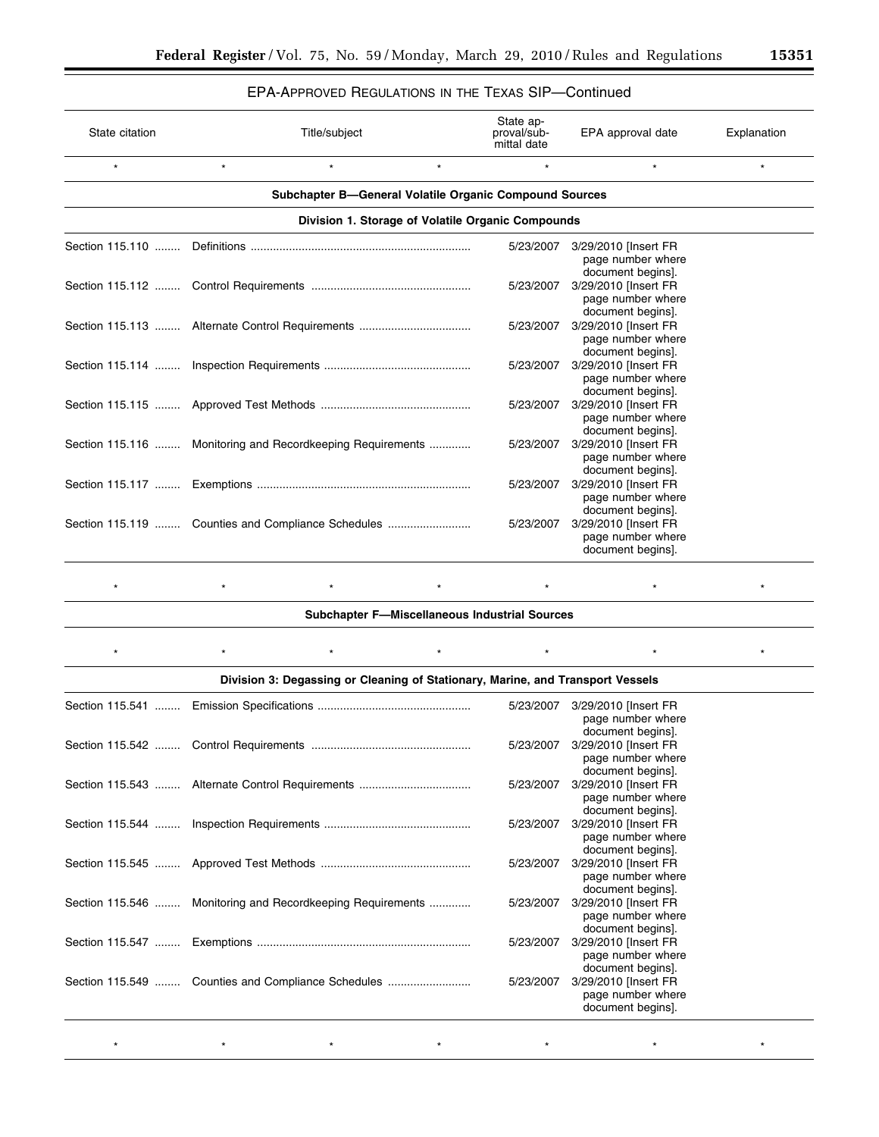# EPA-APPROVED REGULATIONS IN THE TEXAS SIP—Continued

| $\star$<br>$\star$                                     |         |                                                            |                                                                |                   |  |  |  |
|--------------------------------------------------------|---------|------------------------------------------------------------|----------------------------------------------------------------|-------------------|--|--|--|
|                                                        | $\star$ | $\star$                                                    | $\star$                                                        | $\star$           |  |  |  |
| Subchapter B-General Volatile Organic Compound Sources |         |                                                            |                                                                |                   |  |  |  |
| Division 1. Storage of Volatile Organic Compounds      |         |                                                            |                                                                |                   |  |  |  |
|                                                        |         | 5/23/2007                                                  | 3/29/2010 [Insert FR<br>page number where                      |                   |  |  |  |
|                                                        |         | 5/23/2007                                                  | 3/29/2010 [Insert FR<br>page number where<br>document begins]. |                   |  |  |  |
|                                                        |         | 5/23/2007                                                  | 3/29/2010 [Insert FR<br>page number where<br>document begins]. |                   |  |  |  |
|                                                        |         | 5/23/2007                                                  | 3/29/2010 [Insert FR<br>page number where<br>document begins]. |                   |  |  |  |
|                                                        |         | 5/23/2007                                                  | 3/29/2010 [Insert FR<br>page number where<br>document begins]. |                   |  |  |  |
|                                                        |         | 5/23/2007                                                  | 3/29/2010 [Insert FR<br>page number where<br>document begins]. |                   |  |  |  |
|                                                        |         | 5/23/2007                                                  | 3/29/2010 [Insert FR<br>page number where<br>document begins]. |                   |  |  |  |
|                                                        |         | 5/23/2007                                                  | 3/29/2010 [Insert FR<br>page number where<br>document begins]. |                   |  |  |  |
|                                                        |         | Section 115.116  Monitoring and Recordkeeping Requirements |                                                                | document begins]. |  |  |  |

\* \* \* \* \* \* \* \* \* \* \* \* \* \* \* **Subchapter F—Miscellaneous Industrial Sources** 

|                                                            | 5/23/2007 | 3/29/2010 [Insert FR                                           |
|------------------------------------------------------------|-----------|----------------------------------------------------------------|
|                                                            |           | page number where<br>document begins].                         |
|                                                            | 5/23/2007 | 3/29/2010 [Insert FR<br>page number where<br>document begins]. |
|                                                            | 5/23/2007 | 3/29/2010 [Insert FR<br>page number where<br>document begins]. |
|                                                            | 5/23/2007 | 3/29/2010 [Insert FR<br>page number where<br>document begins]. |
|                                                            | 5/23/2007 | 3/29/2010 [Insert FR<br>page number where<br>document begins]. |
| Section 115.546  Monitoring and Recordkeeping Requirements | 5/23/2007 | 3/29/2010 [Insert FR<br>page number where<br>document begins]. |
|                                                            | 5/23/2007 | 3/29/2010 [Insert FR<br>page number where<br>document begins]. |
| Section 115.549  Counties and Compliance Schedules         | 5/23/2007 | 3/29/2010 [Insert FR<br>page number where<br>document begins]. |

\* \* \* \* \* \* \* \* \* \* \* \* \*